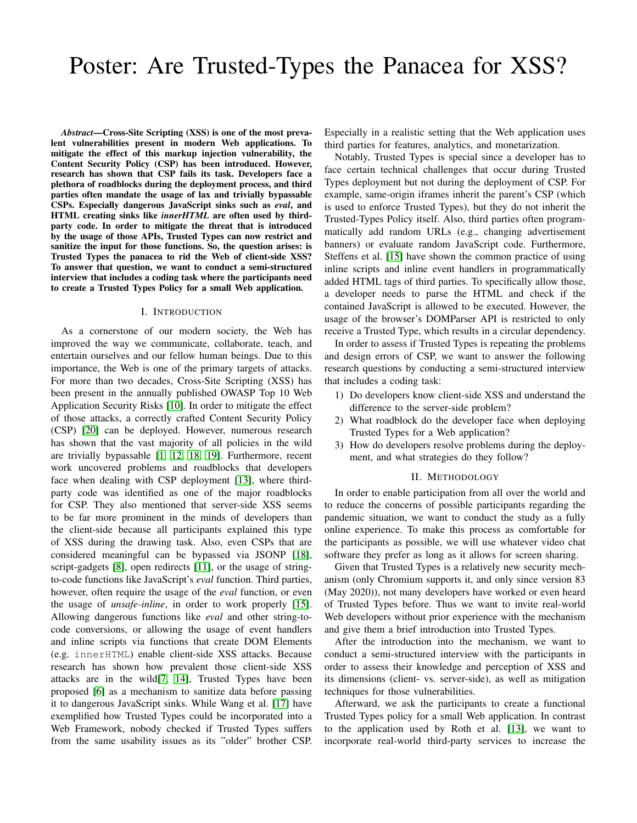# Poster: Are Trusted-Types the Panacea for XSS?

*Abstract*—Cross-Site Scripting (XSS) is one of the most prevalent vulnerabilities present in modern Web applications. To mitigate the effect of this markup injection vulnerability, the Content Security Policy (CSP) has been introduced. However, research has shown that CSP fails its task. Developers face a plethora of roadblocks during the deployment process, and third parties often mandate the usage of lax and trivially bypassable CSPs. Especially dangerous JavaScript sinks such as *eval*, and HTML creating sinks like *innerHTML* are often used by thirdparty code. In order to mitigate the threat that is introduced by the usage of those APIs, Trusted Types can now restrict and sanitize the input for those functions. So, the question arises: is Trusted Types the panacea to rid the Web of client-side XSS? To answer that question, we want to conduct a semi-structured interview that includes a coding task where the participants need to create a Trusted Types Policy for a small Web application.

#### I. INTRODUCTION

As a cornerstone of our modern society, the Web has improved the way we communicate, collaborate, teach, and entertain ourselves and our fellow human beings. Due to this importance, the Web is one of the primary targets of attacks. For more than two decades, Cross-Site Scripting (XSS) has been present in the annually published OWASP Top 10 Web Application Security Risks [\[10\]](#page-1-0). In order to mitigate the effect of those attacks, a correctly crafted Content Security Policy (CSP) [\[20\]](#page-1-1) can be deployed. However, numerous research has shown that the vast majority of all policies in the wild are trivially bypassable [\[1,](#page-1-2) [12,](#page-1-3) [18,](#page-1-4) [19\]](#page-1-5). Furthermore, recent work uncovered problems and roadblocks that developers face when dealing with CSP deployment [\[13\]](#page-1-6), where thirdparty code was identified as one of the major roadblocks for CSP. They also mentioned that server-side XSS seems to be far more prominent in the minds of developers than the client-side because all participants explained this type of XSS during the drawing task. Also, even CSPs that are considered meaningful can be bypassed via JSONP [\[18\]](#page-1-4), script-gadgets [\[8\]](#page-1-7), open redirects [\[11\]](#page-1-8), or the usage of stringto-code functions like JavaScript's *eval* function. Third parties, however, often require the usage of the *eval* function, or even the usage of *unsafe-inline*, in order to work properly [\[15\]](#page-1-9). Allowing dangerous functions like *eval* and other string-tocode conversions, or allowing the usage of event handlers and inline scripts via functions that create DOM Elements (e.g. innerHTML) enable client-side XSS attacks. Because research has shown how prevalent those client-side XSS attacks are in the wild[\[7,](#page-1-10) [14\]](#page-1-11), Trusted Types have been proposed [\[6\]](#page-1-12) as a mechanism to sanitize data before passing it to dangerous JavaScript sinks. While Wang et al. [\[17\]](#page-1-13) have exemplified how Trusted Types could be incorporated into a Web Framework, nobody checked if Trusted Types suffers from the same usability issues as its "older" brother CSP. Especially in a realistic setting that the Web application uses third parties for features, analytics, and monetarization.

Notably, Trusted Types is special since a developer has to face certain technical challenges that occur during Trusted Types deployment but not during the deployment of CSP. For example, same-origin iframes inherit the parent's CSP (which is used to enforce Trusted Types), but they do not inherit the Trusted-Types Policy itself. Also, third parties often programmatically add random URLs (e.g., changing advertisement banners) or evaluate random JavaScript code. Furthermore, Steffens et al. [\[15\]](#page-1-9) have shown the common practice of using inline scripts and inline event handlers in programmatically added HTML tags of third parties. To specifically allow those, a developer needs to parse the HTML and check if the contained JavaScript is allowed to be executed. However, the usage of the browser's DOMParser API is restricted to only receive a Trusted Type, which results in a circular dependency.

In order to assess if Trusted Types is repeating the problems and design errors of CSP, we want to answer the following research questions by conducting a semi-structured interview that includes a coding task:

- 1) Do developers know client-side XSS and understand the difference to the server-side problem?
- 2) What roadblock do the developer face when deploying Trusted Types for a Web application?
- 3) How do developers resolve problems during the deployment, and what strategies do they follow?

#### II. METHODOLOGY

In order to enable participation from all over the world and to reduce the concerns of possible participants regarding the pandemic situation, we want to conduct the study as a fully online experience. To make this process as comfortable for the participants as possible, we will use whatever video chat software they prefer as long as it allows for screen sharing.

Given that Trusted Types is a relatively new security mechanism (only Chromium supports it, and only since version 83 (May 2020)), not many developers have worked or even heard of Trusted Types before. Thus we want to invite real-world Web developers without prior experience with the mechanism and give them a brief introduction into Trusted Types.

After the introduction into the mechanism, we want to conduct a semi-structured interview with the participants in order to assess their knowledge and perception of XSS and its dimensions (client- vs. server-side), as well as mitigation techniques for those vulnerabilities.

Afterward, we ask the participants to create a functional Trusted Types policy for a small Web application. In contrast to the application used by Roth et al. [\[13\]](#page-1-6), we want to incorporate real-world third-party services to increase the